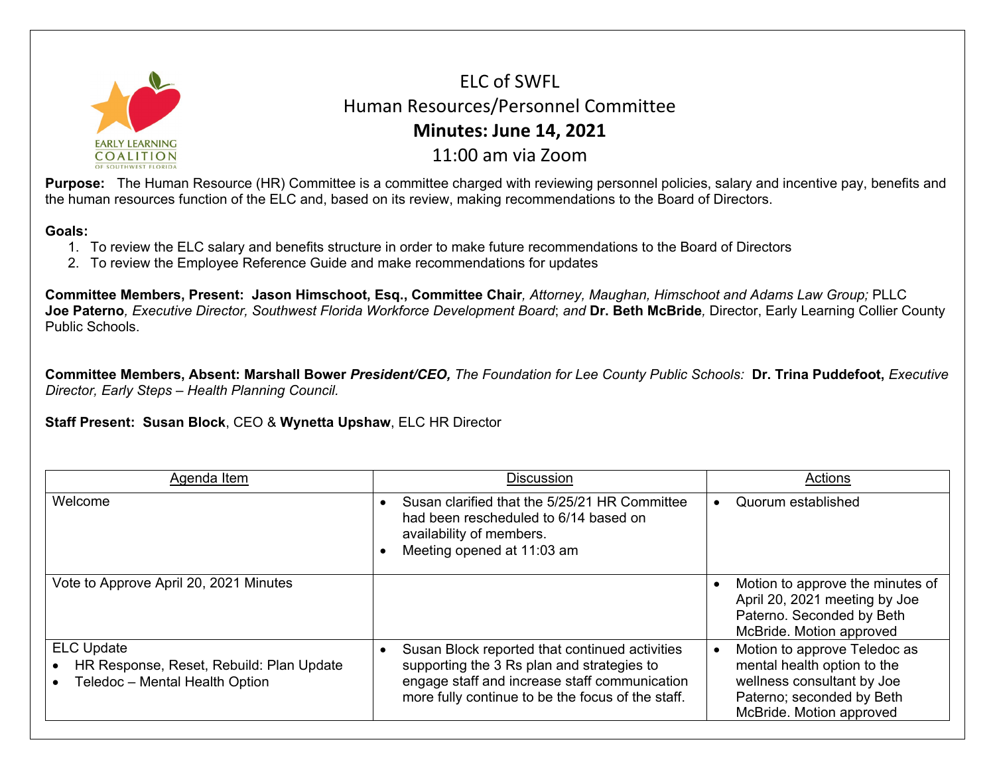

ELC of SWFL Human Resources/Personnel Committee **Minutes: June 14, 2021** 11:00 am via Zoom

**Purpose:** The Human Resource (HR) Committee is a committee charged with reviewing personnel policies, salary and incentive pay, benefits and the human resources function of the ELC and, based on its review, making recommendations to the Board of Directors.

## **Goals:**

- 1. To review the ELC salary and benefits structure in order to make future recommendations to the Board of Directors
- 2. To review the Employee Reference Guide and make recommendations for updates

**Committee Members, Present: Jason Himschoot, Esq., Committee Chair***, Attorney, Maughan, Himschoot and Adams Law Group;* PLLC **Joe Paterno***, Executive Director, Southwest Florida Workforce Development Board*; *and* **Dr. Beth McBride***,* Director, Early Learning Collier County Public Schools.

**Committee Members, Absent: Marshall Bower** *President/CEO, The Foundation for Lee County Public Schools:* **Dr. Trina Puddefoot,** *Executive Director, Early Steps – Health Planning Council.*

**Staff Present: Susan Block**, CEO & **Wynetta Upshaw**, ELC HR Director

| Agenda Item                                                                                     | <b>Discussion</b>                                                                                                                                                                                  | Actions                                                                                                                                            |
|-------------------------------------------------------------------------------------------------|----------------------------------------------------------------------------------------------------------------------------------------------------------------------------------------------------|----------------------------------------------------------------------------------------------------------------------------------------------------|
| Welcome                                                                                         | Susan clarified that the 5/25/21 HR Committee<br>had been rescheduled to 6/14 based on<br>availability of members.<br>Meeting opened at 11:03 am                                                   | Quorum established<br>$\bullet$                                                                                                                    |
| Vote to Approve April 20, 2021 Minutes                                                          |                                                                                                                                                                                                    | Motion to approve the minutes of<br>April 20, 2021 meeting by Joe<br>Paterno. Seconded by Beth<br>McBride. Motion approved                         |
| <b>ELC Update</b><br>HR Response, Reset, Rebuild: Plan Update<br>Teledoc - Mental Health Option | Susan Block reported that continued activities<br>supporting the 3 Rs plan and strategies to<br>engage staff and increase staff communication<br>more fully continue to be the focus of the staff. | Motion to approve Teledoc as<br>mental health option to the<br>wellness consultant by Joe<br>Paterno; seconded by Beth<br>McBride. Motion approved |